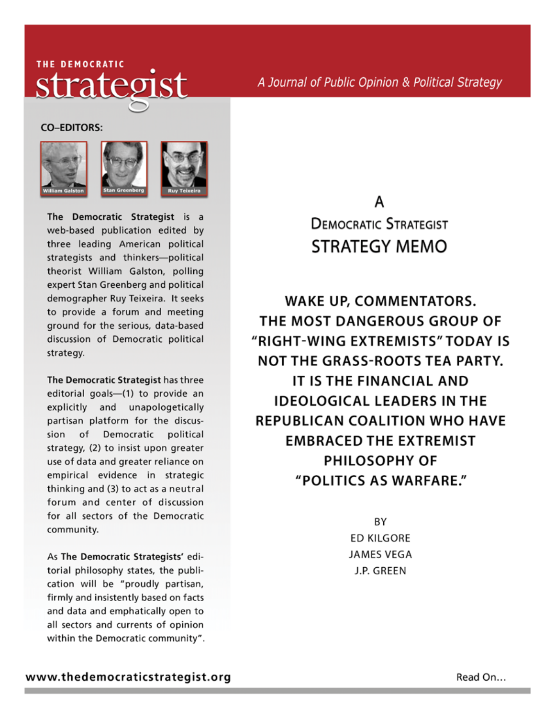## THE DEMOCRATIC strategist

A Journal of Public Opinion & Political Strategy

**CO-EDITORS:** 





The Democratic Strategist is a web-based publication edited by three leading American political strategists and thinkers-political theorist William Galston, polling expert Stan Greenberg and political demographer Ruy Teixeira. It seeks to provide a forum and meeting ground for the serious, data-based discussion of Democratic political strategy.

The Democratic Strategist has three editorial goals-(1) to provide an explicitly and unapologetically partisan platform for the discussion of Democratic political strategy, (2) to insist upon greater use of data and greater reliance on empirical evidence in strategic thinking and (3) to act as a neutral forum and center of discussion for all sectors of the Democratic community.

As The Democratic Strategists' editorial philosophy states, the publication will be "proudly partisan, firmly and insistently based on facts and data and emphatically open to all sectors and currents of opinion within the Democratic community".

## А **DEMOCRATIC STRATEGIST STRATEGY MEMO**

**WAKE UP, COMMENTATORS.** THE MOST DANGEROUS GROUP OF "RIGHT-WING EXTREMISTS" TODAY IS **NOT THE GRASS-ROOTS TEA PARTY.** IT IS THE FINANCIAL AND **IDEOLOGICAL LEADERS IN THE REPUBLICAN COALITION WHO HAVE EMBRACED THE EXTREMIST PHILOSOPHY OF** "POLITICS AS WARFARE."

> BY **ED KILGORE JAMES VEGA** J.P. GREEN

Read On...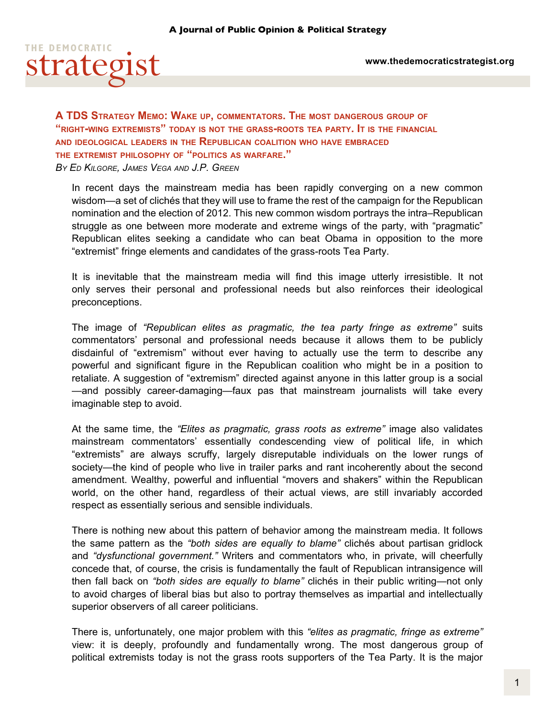

**A TDS Strategy Memo: Wake up, commentators. The most dangerous group of "right-wing extremists" today is not the grass-roots tea party. It is the financial and ideological leaders in the Republican coalition who have embraced the extremist philosophy of "politics as warfare."**  *By Ed Kilgore, James Vega and J.P. Green*

In recent days the mainstream media has been rapidly converging on a new common wisdom—a set of clichés that they will use to frame the rest of the campaign for the Republican nomination and the election of 2012. This new common wisdom portrays the intra–Republican struggle as one between more moderate and extreme wings of the party, with "pragmatic" Republican elites seeking a candidate who can beat Obama in opposition to the more "extremist" fringe elements and candidates of the grass-roots Tea Party.

It is inevitable that the mainstream media will find this image utterly irresistible. It not only serves their personal and professional needs but also reinforces their ideological preconceptions.

The image of *"Republican elites as pragmatic, the tea party fringe as extreme"* suits commentators' personal and professional needs because it allows them to be publicly disdainful of "extremism" without ever having to actually use the term to describe any powerful and significant figure in the Republican coalition who might be in a position to retaliate. A suggestion of "extremism" directed against anyone in this latter group is a social —and possibly career-damaging—faux pas that mainstream journalists will take every imaginable step to avoid.

At the same time, the *"Elites as pragmatic, grass roots as extreme"* image also validates mainstream commentators' essentially condescending view of political life, in which "extremists" are always scruffy, largely disreputable individuals on the lower rungs of society—the kind of people who live in trailer parks and rant incoherently about the second amendment. Wealthy, powerful and influential "movers and shakers" within the Republican world, on the other hand, regardless of their actual views, are still invariably accorded respect as essentially serious and sensible individuals.

There is nothing new about this pattern of behavior among the mainstream media. It follows the same pattern as the *"both sides are equally to blame"* clichés about partisan gridlock and *"dysfunctional government."* Writers and commentators who, in private, will cheerfully concede that, of course, the crisis is fundamentally the fault of Republican intransigence will then fall back on *"both sides are equally to blame"* clichés in their public writing—not only to avoid charges of liberal bias but also to portray themselves as impartial and intellectually superior observers of all career politicians.

There is, unfortunately, one major problem with this *"elites as pragmatic, fringe as extreme"* view: it is deeply, profoundly and fundamentally wrong. The most dangerous group of political extremists today is not the grass roots supporters of the Tea Party. It is the major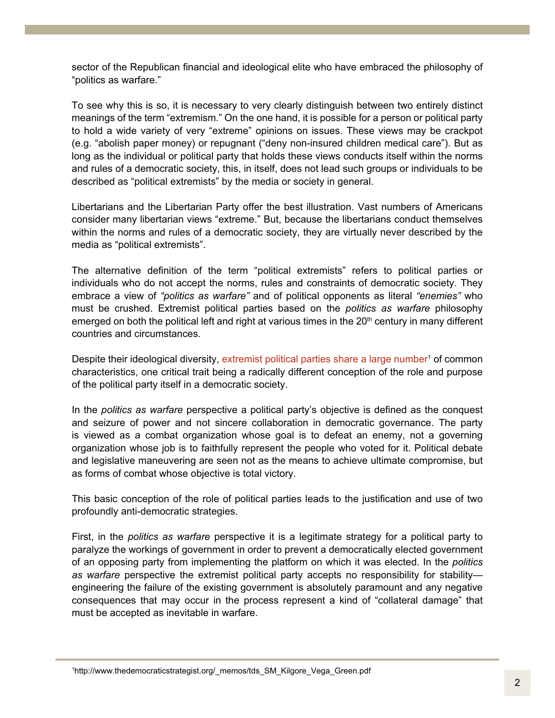sector of the Republican financial and ideological elite who have embraced the philosophy of "politics as warfare."

To see why this is so, it is necessary to very clearly distinguish between two entirely distinct meanings of the term "extremism." On the one hand, it is possible for a person or political party to hold a wide variety of very "extreme" opinions on issues. These views may be crackpot (e.g. "abolish paper money) or repugnant ("deny non-insured children medical care"). But as long as the individual or political party that holds these views conducts itself within the norms and rules of a democratic society, this, in itself, does not lead such groups or individuals to be described as "political extremists" by the media or society in general.

Libertarians and the Libertarian Party offer the best illustration. Vast numbers of Americans consider many libertarian views "extreme." But, because the libertarians conduct themselves within the norms and rules of a democratic society, they are virtually never described by the media as "political extremists".

The alternative definition of the term "political extremists" refers to political parties or individuals who do not accept the norms, rules and constraints of democratic society. They embrace a view of *"politics as warfare"* and of political opponents as literal *"enemies"* who must be crushed. Extremist political parties based on the *politics as warfare* philosophy emerged on both the political left and right at various times in the  $20<sup>th</sup>$  century in many different countries and circumstances.

Despite their ideological diversity, extremist political parties share a large number<sup>1</sup> of common characteristics, one critical trait being a radically different conception of the role and purpose of the political party itself in a democratic society.

In the *politics as warfare* perspective a political party's objective is defined as the conquest and seizure of power and not sincere collaboration in democratic governance. The party is viewed as a combat organization whose goal is to defeat an enemy, not a governing organization whose job is to faithfully represent the people who voted for it. Political debate and legislative maneuvering are seen not as the means to achieve ultimate compromise, but as forms of combat whose objective is total victory.

This basic conception of the role of political parties leads to the justification and use of two profoundly anti-democratic strategies.

First, in the *politics as warfare* perspective it is a legitimate strategy for a political party to paralyze the workings of government in order to prevent a democratically elected government of an opposing party from implementing the platform on which it was elected. In the *politics as warfare* perspective the extremist political party accepts no responsibility for stability engineering the failure of the existing government is absolutely paramount and any negative consequences that may occur in the process represent a kind of "collateral damage" that must be accepted as inevitable in warfare.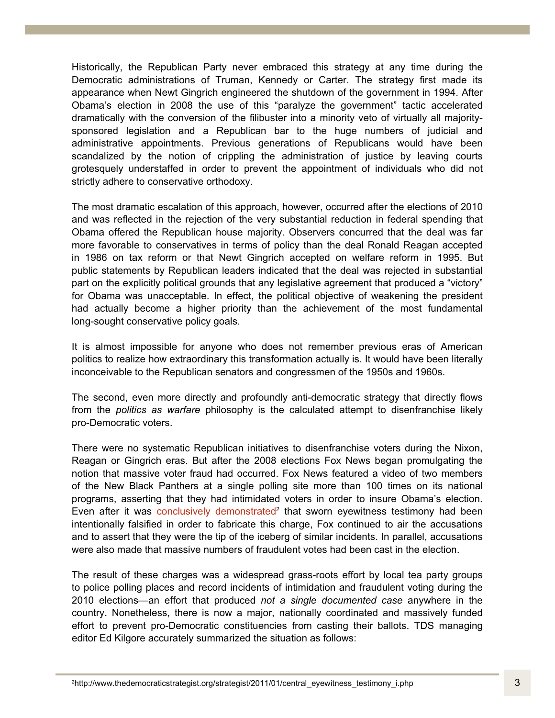Historically, the Republican Party never embraced this strategy at any time during the Democratic administrations of Truman, Kennedy or Carter. The strategy first made its appearance when Newt Gingrich engineered the shutdown of the government in 1994. After Obama's election in 2008 the use of this "paralyze the government" tactic accelerated dramatically with the conversion of the filibuster into a minority veto of virtually all majoritysponsored legislation and a Republican bar to the huge numbers of judicial and administrative appointments. Previous generations of Republicans would have been scandalized by the notion of crippling the administration of justice by leaving courts grotesquely understaffed in order to prevent the appointment of individuals who did not strictly adhere to conservative orthodoxy.

The most dramatic escalation of this approach, however, occurred after the elections of 2010 and was reflected in the rejection of the very substantial reduction in federal spending that Obama offered the Republican house majority. Observers concurred that the deal was far more favorable to conservatives in terms of policy than the deal Ronald Reagan accepted in 1986 on tax reform or that Newt Gingrich accepted on welfare reform in 1995. But public statements by Republican leaders indicated that the deal was rejected in substantial part on the explicitly political grounds that any legislative agreement that produced a "victory" for Obama was unacceptable. In effect, the political objective of weakening the president had actually become a higher priority than the achievement of the most fundamental long-sought conservative policy goals.

It is almost impossible for anyone who does not remember previous eras of American politics to realize how extraordinary this transformation actually is. It would have been literally inconceivable to the Republican senators and congressmen of the 1950s and 1960s.

The second, even more directly and profoundly anti-democratic strategy that directly flows from the *politics as warfare* philosophy is the calculated attempt to disenfranchise likely pro-Democratic voters.

There were no systematic Republican initiatives to disenfranchise voters during the Nixon, Reagan or Gingrich eras. But after the 2008 elections Fox News began promulgating the notion that massive voter fraud had occurred. Fox News featured a video of two members of the New Black Panthers at a single polling site more than 100 times on its national programs, asserting that they had intimidated voters in order to insure Obama's election. Even after it was conclusively demonstrated<sup>2</sup> that sworn eyewitness testimony had been intentionally falsified in order to fabricate this charge, Fox continued to air the accusations and to assert that they were the tip of the iceberg of similar incidents. In parallel, accusations were also made that massive numbers of fraudulent votes had been cast in the election.

The result of these charges was a widespread grass-roots effort by local tea party groups to police polling places and record incidents of intimidation and fraudulent voting during the 2010 elections—an effort that produced *not a single documented case* anywhere in the country. Nonetheless, there is now a major, nationally coordinated and massively funded effort to prevent pro-Democratic constituencies from casting their ballots. TDS managing editor Ed Kilgore accurately summarized the situation as follows: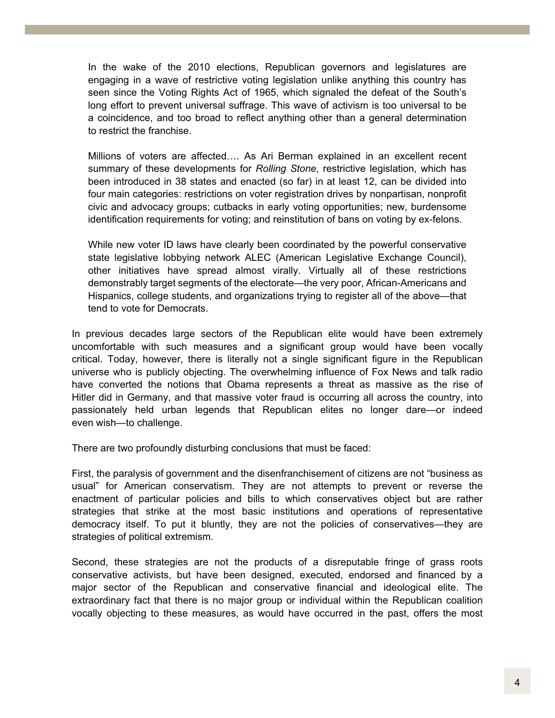In the wake of the 2010 elections, Republican governors and legislatures are engaging in a wave of restrictive voting legislation unlike anything this country has seen since the Voting Rights Act of 1965, which signaled the defeat of the South's long effort to prevent universal suffrage. This wave of activism is too universal to be a coincidence, and too broad to reflect anything other than a general determination to restrict the franchise.

Millions of voters are affected…. As Ari Berman explained in an excellent recent summary of these developments for *Rolling Stone*, restrictive legislation, which has been introduced in 38 states and enacted (so far) in at least 12, can be divided into four main categories: restrictions on voter registration drives by nonpartisan, nonprofit civic and advocacy groups; cutbacks in early voting opportunities; new, burdensome identification requirements for voting; and reinstitution of bans on voting by ex-felons.

While new voter ID laws have clearly been coordinated by the powerful conservative state legislative lobbying network ALEC (American Legislative Exchange Council), other initiatives have spread almost virally. Virtually all of these restrictions demonstrably target segments of the electorate—the very poor, African-Americans and Hispanics, college students, and organizations trying to register all of the above—that tend to vote for Democrats.

In previous decades large sectors of the Republican elite would have been extremely uncomfortable with such measures and a significant group would have been vocally critical. Today, however, there is literally not a single significant figure in the Republican universe who is publicly objecting. The overwhelming influence of Fox News and talk radio have converted the notions that Obama represents a threat as massive as the rise of Hitler did in Germany, and that massive voter fraud is occurring all across the country, into passionately held urban legends that Republican elites no longer dare—or indeed even wish—to challenge.

There are two profoundly disturbing conclusions that must be faced:

First, the paralysis of government and the disenfranchisement of citizens are not "business as usual" for American conservatism. They are not attempts to prevent or reverse the enactment of particular policies and bills to which conservatives object but are rather strategies that strike at the most basic institutions and operations of representative democracy itself. To put it bluntly, they are not the policies of conservatives—they are strategies of political extremism.

Second, these strategies are not the products of a disreputable fringe of grass roots conservative activists, but have been designed, executed, endorsed and financed by a major sector of the Republican and conservative financial and ideological elite. The extraordinary fact that there is no major group or individual within the Republican coalition vocally objecting to these measures, as would have occurred in the past, offers the most